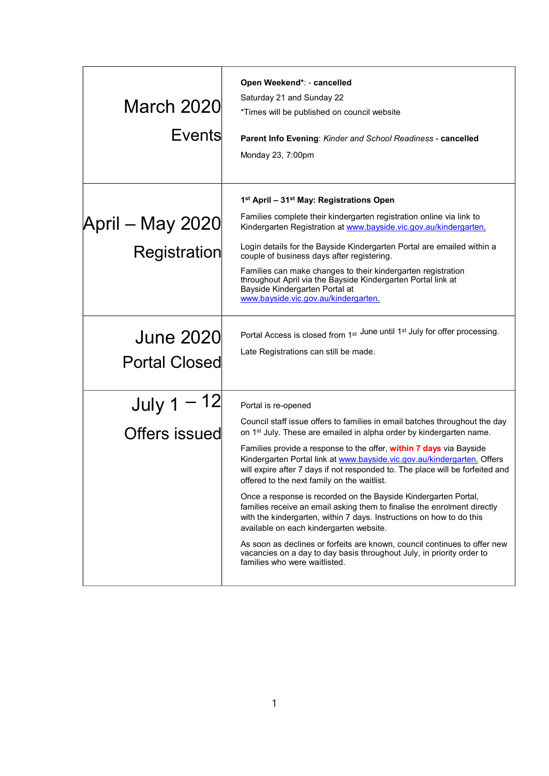| <b>March 2020</b><br>Events              | Open Weekend*: - cancelled<br>Saturday 21 and Sunday 22<br>*Times will be published on council website<br>Parent Info Evening: Kinder and School Readiness - cancelled<br>Monday 23, 7:00pm                                                                                                                                                                                                                                                                                                                                                                                                                                                                                                                                                                                                                                                                                                                                     |
|------------------------------------------|---------------------------------------------------------------------------------------------------------------------------------------------------------------------------------------------------------------------------------------------------------------------------------------------------------------------------------------------------------------------------------------------------------------------------------------------------------------------------------------------------------------------------------------------------------------------------------------------------------------------------------------------------------------------------------------------------------------------------------------------------------------------------------------------------------------------------------------------------------------------------------------------------------------------------------|
| April – May 2020<br>Registration         | 1 <sup>st</sup> April - 31 <sup>st</sup> May: Registrations Open<br>Families complete their kindergarten registration online via link to<br>Kindergarten Registration at www.bayside.vic.gov.au/kindergarten.<br>Login details for the Bayside Kindergarten Portal are emailed within a<br>couple of business days after registering.<br>Families can make changes to their kindergarten registration<br>throughout April via the Bayside Kindergarten Portal link at<br>Bayside Kindergarten Portal at<br>www.bayside.vic.gov.au/kindergarten.                                                                                                                                                                                                                                                                                                                                                                                 |
| <b>June 2020</b><br><b>Portal Closed</b> | Portal Access is closed from 1st June until 1st July for offer processing.<br>Late Registrations can still be made.                                                                                                                                                                                                                                                                                                                                                                                                                                                                                                                                                                                                                                                                                                                                                                                                             |
| - 12<br>July 1<br><b>Offers issued</b>   | Portal is re-opened<br>Council staff issue offers to families in email batches throughout the day<br>on 1 <sup>st</sup> July. These are emailed in alpha order by kindergarten name.<br>Families provide a response to the offer, within 7 days via Bayside<br>Kindergarten Portal link at www.bayside.vic.gov.au/kindergarten. Offers<br>will expire after 7 days if not responded to. The place will be forfeited and<br>offered to the next family on the waitlist.<br>Once a response is recorded on the Bayside Kindergarten Portal,<br>families receive an email asking them to finalise the enrolment directly<br>with the kindergarten, within 7 days. Instructions on how to do this<br>available on each kindergarten website.<br>As soon as declines or forfeits are known, council continues to offer new<br>vacancies on a day to day basis throughout July, in priority order to<br>families who were waitlisted. |